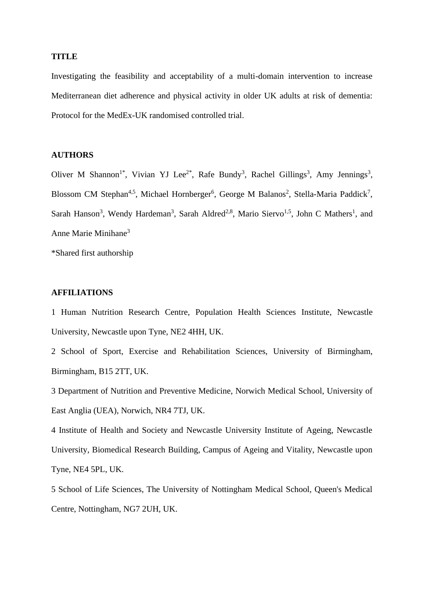#### **TITLE**

Investigating the feasibility and acceptability of a multi-domain intervention to increase Mediterranean diet adherence and physical activity in older UK adults at risk of dementia: Protocol for the MedEx-UK randomised controlled trial.

# **AUTHORS**

Oliver M Shannon<sup>1\*</sup>, Vivian YJ Lee<sup>2\*</sup>, Rafe Bundy<sup>3</sup>, Rachel Gillings<sup>3</sup>, Amy Jennings<sup>3</sup>, Blossom CM Stephan<sup>4,5</sup>, Michael Hornberger<sup>6</sup>, George M Balanos<sup>2</sup>, Stella-Maria Paddick<sup>7</sup>, Sarah Hanson<sup>3</sup>, Wendy Hardeman<sup>3</sup>, Sarah Aldred<sup>2,8</sup>, Mario Siervo<sup>1,5</sup>, John C Mathers<sup>1</sup>, and Anne Marie Minihane<sup>3</sup>

\*Shared first authorship

# **AFFILIATIONS**

1 Human Nutrition Research Centre, Population Health Sciences Institute, Newcastle University, Newcastle upon Tyne, NE2 4HH, UK.

2 School of Sport, Exercise and Rehabilitation Sciences, University of Birmingham, Birmingham, B15 2TT, UK.

3 Department of Nutrition and Preventive Medicine, Norwich Medical School, University of East Anglia (UEA), Norwich, NR4 7TJ, UK.

4 Institute of Health and Society and Newcastle University Institute of Ageing, Newcastle University, Biomedical Research Building, Campus of Ageing and Vitality, Newcastle upon Tyne, NE4 5PL, UK.

5 School of Life Sciences, The University of Nottingham Medical School, Queen's Medical Centre, Nottingham, NG7 2UH, UK.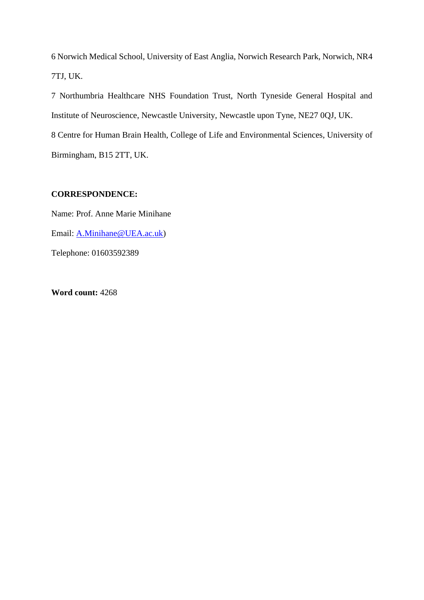6 Norwich Medical School, University of East Anglia, Norwich Research Park, Norwich, NR4 7TJ, UK.

7 Northumbria Healthcare NHS Foundation Trust, North Tyneside General Hospital and Institute of Neuroscience, Newcastle University, Newcastle upon Tyne, NE27 0QJ, UK.

8 Centre for Human Brain Health, College of Life and Environmental Sciences, University of Birmingham, B15 2TT, UK.

# **CORRESPONDENCE:**

Name: Prof. Anne Marie Minihane Email: [A.Minihane@UEA.ac.uk\)](mailto:A.Minihane@UEA.ac.uk) Telephone: 01603592389

**Word count:** 4268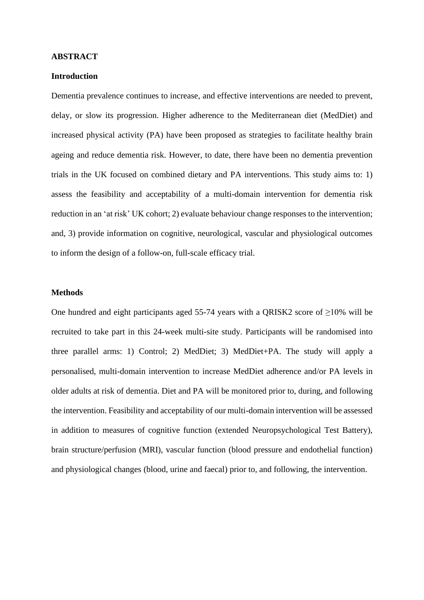#### **ABSTRACT**

# **Introduction**

Dementia prevalence continues to increase, and effective interventions are needed to prevent, delay, or slow its progression. Higher adherence to the Mediterranean diet (MedDiet) and increased physical activity (PA) have been proposed as strategies to facilitate healthy brain ageing and reduce dementia risk. However, to date, there have been no dementia prevention trials in the UK focused on combined dietary and PA interventions. This study aims to: 1) assess the feasibility and acceptability of a multi-domain intervention for dementia risk reduction in an 'at risk' UK cohort; 2) evaluate behaviour change responses to the intervention; and, 3) provide information on cognitive, neurological, vascular and physiological outcomes to inform the design of a follow-on, full-scale efficacy trial.

## **Methods**

One hundred and eight participants aged 55-74 years with a QRISK2 score of  $\geq$ 10% will be recruited to take part in this 24-week multi-site study. Participants will be randomised into three parallel arms: 1) Control; 2) MedDiet; 3) MedDiet+PA. The study will apply a personalised, multi-domain intervention to increase MedDiet adherence and/or PA levels in older adults at risk of dementia. Diet and PA will be monitored prior to, during, and following the intervention. Feasibility and acceptability of our multi-domain intervention will be assessed in addition to measures of cognitive function (extended Neuropsychological Test Battery), brain structure/perfusion (MRI), vascular function (blood pressure and endothelial function) and physiological changes (blood, urine and faecal) prior to, and following, the intervention.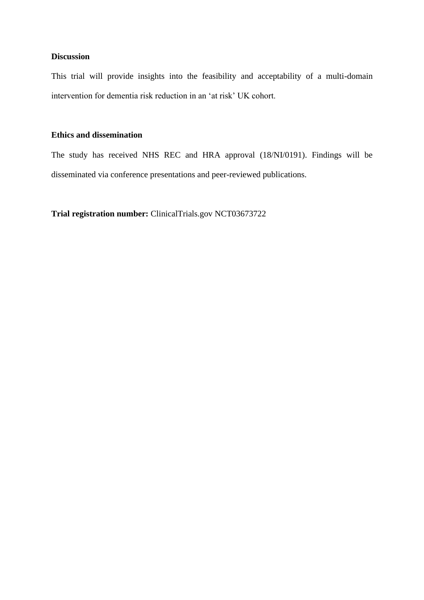# **Discussion**

This trial will provide insights into the feasibility and acceptability of a multi-domain intervention for dementia risk reduction in an 'at risk' UK cohort.

# **Ethics and dissemination**

The study has received NHS REC and HRA approval (18/NI/0191). Findings will be disseminated via conference presentations and peer-reviewed publications.

**Trial registration number:** ClinicalTrials.gov NCT03673722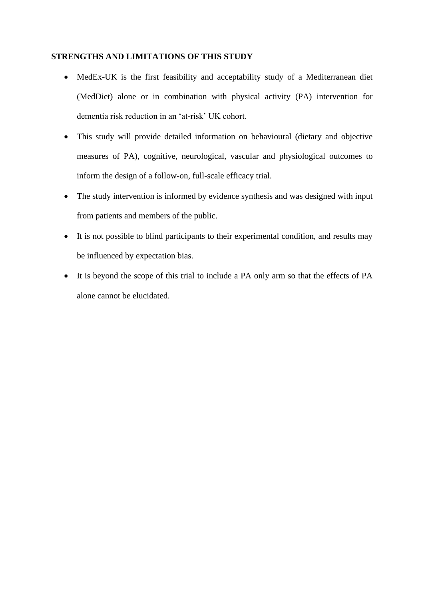# **STRENGTHS AND LIMITATIONS OF THIS STUDY**

- MedEx-UK is the first feasibility and acceptability study of a Mediterranean diet (MedDiet) alone or in combination with physical activity (PA) intervention for dementia risk reduction in an 'at-risk' UK cohort.
- This study will provide detailed information on behavioural (dietary and objective measures of PA), cognitive, neurological, vascular and physiological outcomes to inform the design of a follow-on, full-scale efficacy trial.
- The study intervention is informed by evidence synthesis and was designed with input from patients and members of the public.
- It is not possible to blind participants to their experimental condition, and results may be influenced by expectation bias.
- It is beyond the scope of this trial to include a PA only arm so that the effects of PA alone cannot be elucidated.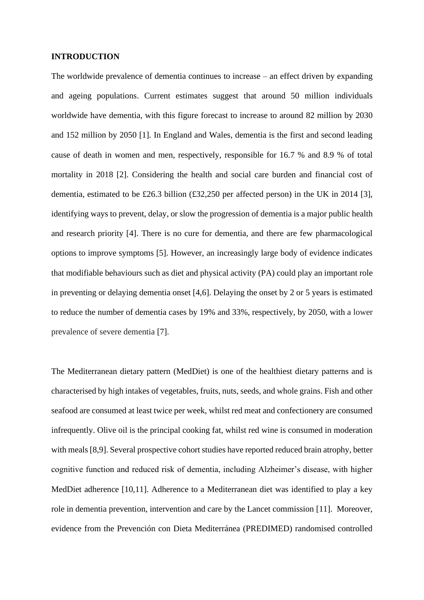#### **INTRODUCTION**

The worldwide prevalence of dementia continues to increase – an effect driven by expanding and ageing populations. Current estimates suggest that around 50 million individuals worldwide have dementia, with this figure forecast to increase to around 82 million by 2030 and 152 million by 2050 [1]. In England and Wales, dementia is the first and second leading cause of death in women and men, respectively, responsible for 16.7 % and 8.9 % of total mortality in 2018 [2]. Considering the health and social care burden and financial cost of dementia, estimated to be £26.3 billion (£32,250 per affected person) in the UK in 2014 [3], identifying ways to prevent, delay, or slow the progression of dementia is a major public health and research priority [4]. There is no cure for dementia, and there are few pharmacological options to improve symptoms [5]. However, an increasingly large body of evidence indicates that modifiable behaviours such as diet and physical activity (PA) could play an important role in preventing or delaying dementia onset [4,6]. Delaying the onset by 2 or 5 years is estimated to reduce the number of dementia cases by 19% and 33%, respectively, by 2050, with a lower prevalence of severe dementia [7].

The Mediterranean dietary pattern (MedDiet) is one of the healthiest dietary patterns and is characterised by high intakes of vegetables, fruits, nuts, seeds, and whole grains. Fish and other seafood are consumed at least twice per week, whilst red meat and confectionery are consumed infrequently. Olive oil is the principal cooking fat, whilst red wine is consumed in moderation with meals [8,9]. Several prospective cohort studies have reported reduced brain atrophy, better cognitive function and reduced risk of dementia, including Alzheimer's disease, with higher MedDiet adherence [10,11]. Adherence to a Mediterranean diet was identified to play a key role in dementia prevention, intervention and care by the Lancet commission [11]. Moreover, evidence from the Prevención con Dieta Mediterránea (PREDIMED) randomised controlled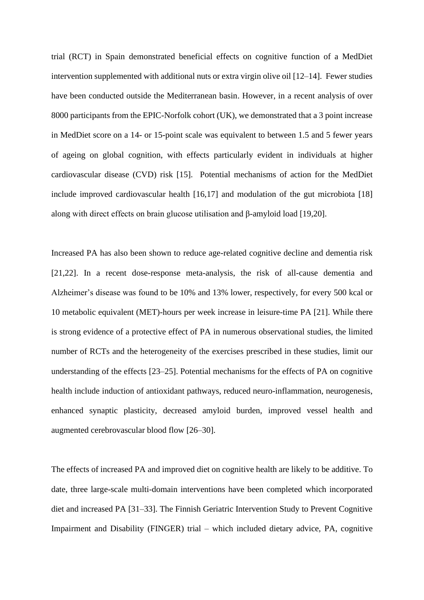trial (RCT) in Spain demonstrated beneficial effects on cognitive function of a MedDiet intervention supplemented with additional nuts or extra virgin olive oil [12–14]. Fewer studies have been conducted outside the Mediterranean basin. However, in a recent analysis of over 8000 participants from the EPIC-Norfolk cohort (UK), we demonstrated that a 3 point increase in MedDiet score on a 14- or 15-point scale was equivalent to between 1.5 and 5 fewer years of ageing on global cognition, with effects particularly evident in individuals at higher cardiovascular disease (CVD) risk [15]. Potential mechanisms of action for the MedDiet include improved cardiovascular health [16,17] and modulation of the gut microbiota [18] along with direct effects on brain glucose utilisation and β-amyloid load [19,20].

Increased PA has also been shown to reduce age-related cognitive decline and dementia risk [21,22]. In a recent dose-response meta-analysis, the risk of all-cause dementia and Alzheimer's disease was found to be 10% and 13% lower, respectively, for every 500 kcal or 10 metabolic equivalent (MET)-hours per week increase in leisure-time PA [21]. While there is strong evidence of a protective effect of PA in numerous observational studies, the limited number of RCTs and the heterogeneity of the exercises prescribed in these studies, limit our understanding of the effects [23–25]. Potential mechanisms for the effects of PA on cognitive health include induction of antioxidant pathways, reduced neuro-inflammation, neurogenesis, enhanced synaptic plasticity, decreased amyloid burden, improved vessel health and augmented cerebrovascular blood flow [26–30].

The effects of increased PA and improved diet on cognitive health are likely to be additive. To date, three large-scale multi-domain interventions have been completed which incorporated diet and increased PA [31–33]. The Finnish Geriatric Intervention Study to Prevent Cognitive Impairment and Disability (FINGER) trial – which included dietary advice, PA, cognitive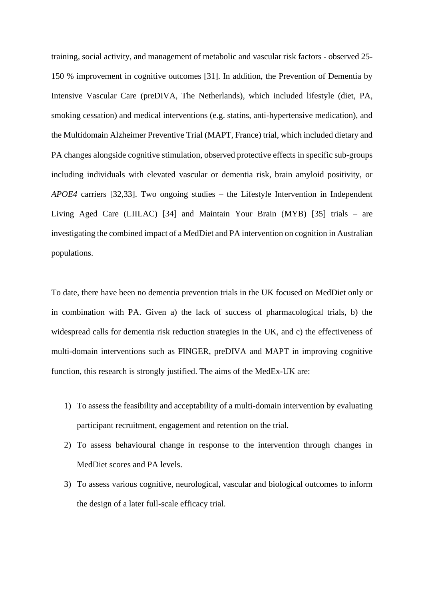training, social activity, and management of metabolic and vascular risk factors - observed 25- 150 % improvement in cognitive outcomes [31]. In addition, the Prevention of Dementia by Intensive Vascular Care (preDIVA, The Netherlands), which included lifestyle (diet, PA, smoking cessation) and medical interventions (e.g. statins, anti-hypertensive medication), and the Multidomain Alzheimer Preventive Trial (MAPT, France) trial, which included dietary and PA changes alongside cognitive stimulation, observed protective effects in specific sub-groups including individuals with elevated vascular or dementia risk, brain amyloid positivity, or *APOE4* carriers [32,33]. Two ongoing studies – the Lifestyle Intervention in Independent Living Aged Care (LIILAC) [34] and Maintain Your Brain (MYB) [35] trials – are investigating the combined impact of a MedDiet and PA intervention on cognition in Australian populations.

To date, there have been no dementia prevention trials in the UK focused on MedDiet only or in combination with PA. Given a) the lack of success of pharmacological trials, b) the widespread calls for dementia risk reduction strategies in the UK, and c) the effectiveness of multi-domain interventions such as FINGER, preDIVA and MAPT in improving cognitive function, this research is strongly justified. The aims of the MedEx-UK are:

- 1) To assess the feasibility and acceptability of a multi-domain intervention by evaluating participant recruitment, engagement and retention on the trial.
- 2) To assess behavioural change in response to the intervention through changes in MedDiet scores and PA levels.
- 3) To assess various cognitive, neurological, vascular and biological outcomes to inform the design of a later full-scale efficacy trial.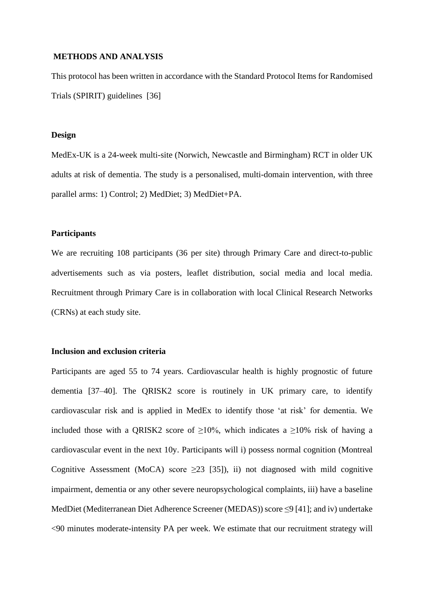#### **METHODS AND ANALYSIS**

This protocol has been written in accordance with the Standard Protocol Items for Randomised Trials (SPIRIT) guidelines [36]

#### **Design**

MedEx-UK is a 24-week multi-site (Norwich, Newcastle and Birmingham) RCT in older UK adults at risk of dementia. The study is a personalised, multi-domain intervention, with three parallel arms: 1) Control; 2) MedDiet; 3) MedDiet+PA.

## **Participants**

We are recruiting 108 participants (36 per site) through Primary Care and direct-to-public advertisements such as via posters, leaflet distribution, social media and local media. Recruitment through Primary Care is in collaboration with local Clinical Research Networks (CRNs) at each study site.

#### **Inclusion and exclusion criteria**

Participants are aged 55 to 74 years. Cardiovascular health is highly prognostic of future dementia [37–40]. The QRISK2 score is routinely in UK primary care, to identify cardiovascular risk and is applied in MedEx to identify those 'at risk' for dementia. We included those with a QRISK2 score of  $\geq 10\%$ , which indicates a  $\geq 10\%$  risk of having a cardiovascular event in the next 10y. Participants will i) possess normal cognition (Montreal Cognitive Assessment (MoCA) score  $\geq$ 23 [35]), ii) not diagnosed with mild cognitive impairment, dementia or any other severe neuropsychological complaints, iii) have a baseline MedDiet (Mediterranean Diet Adherence Screener (MEDAS)) score ≤9 [41]; and iv) undertake <90 minutes moderate-intensity PA per week. We estimate that our recruitment strategy will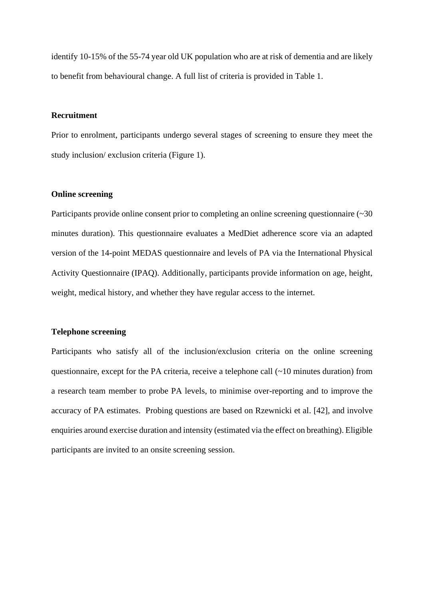identify 10-15% of the 55-74 year old UK population who are at risk of dementia and are likely to benefit from behavioural change. A full list of criteria is provided in Table 1.

# **Recruitment**

Prior to enrolment, participants undergo several stages of screening to ensure they meet the study inclusion/ exclusion criteria (Figure 1).

#### **Online screening**

Participants provide online consent prior to completing an online screening questionnaire (~30) minutes duration). This questionnaire evaluates a MedDiet adherence score via an adapted version of the 14-point MEDAS questionnaire and levels of PA via the International Physical Activity Questionnaire (IPAQ). Additionally, participants provide information on age, height, weight, medical history, and whether they have regular access to the internet.

#### **Telephone screening**

Participants who satisfy all of the inclusion/exclusion criteria on the online screening questionnaire, except for the PA criteria, receive a telephone call (~10 minutes duration) from a research team member to probe PA levels, to minimise over-reporting and to improve the accuracy of PA estimates. Probing questions are based on Rzewnicki et al. [42], and involve enquiries around exercise duration and intensity (estimated via the effect on breathing). Eligible participants are invited to an onsite screening session.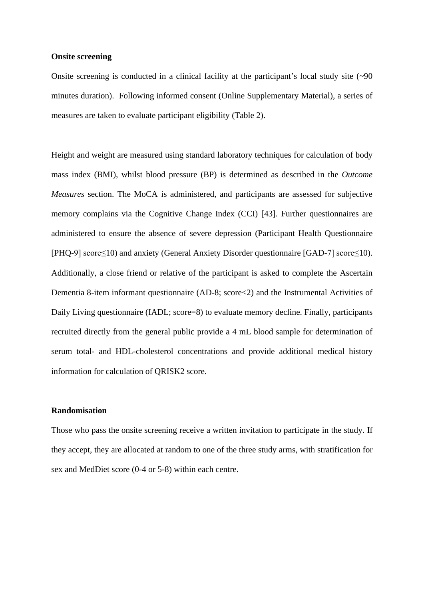#### **Onsite screening**

Onsite screening is conducted in a clinical facility at the participant's local study site (~90) minutes duration). Following informed consent (Online Supplementary Material), a series of measures are taken to evaluate participant eligibility (Table 2).

Height and weight are measured using standard laboratory techniques for calculation of body mass index (BMI), whilst blood pressure (BP) is determined as described in the *Outcome Measures* section. The MoCA is administered, and participants are assessed for subjective memory complains via the Cognitive Change Index (CCI) [43]. Further questionnaires are administered to ensure the absence of severe depression (Participant Health Questionnaire [PHQ-9] score≤10) and anxiety (General Anxiety Disorder questionnaire [GAD-7] score≤10). Additionally, a close friend or relative of the participant is asked to complete the Ascertain Dementia 8-item informant questionnaire (AD-8; score<2) and the Instrumental Activities of Daily Living questionnaire (IADL; score=8) to evaluate memory decline. Finally, participants recruited directly from the general public provide a 4 mL blood sample for determination of serum total- and HDL-cholesterol concentrations and provide additional medical history information for calculation of QRISK2 score.

## **Randomisation**

Those who pass the onsite screening receive a written invitation to participate in the study. If they accept, they are allocated at random to one of the three study arms, with stratification for sex and MedDiet score (0-4 or 5-8) within each centre.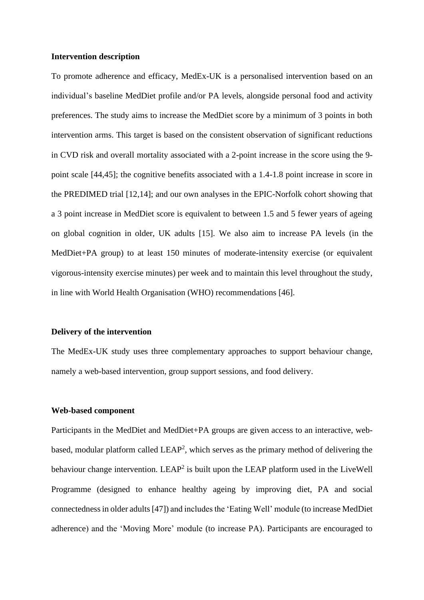#### **Intervention description**

To promote adherence and efficacy, MedEx-UK is a personalised intervention based on an individual's baseline MedDiet profile and/or PA levels, alongside personal food and activity preferences. The study aims to increase the MedDiet score by a minimum of 3 points in both intervention arms. This target is based on the consistent observation of significant reductions in CVD risk and overall mortality associated with a 2-point increase in the score using the 9 point scale [44,45]; the cognitive benefits associated with a 1.4-1.8 point increase in score in the PREDIMED trial [12,14]; and our own analyses in the EPIC-Norfolk cohort showing that a 3 point increase in MedDiet score is equivalent to between 1.5 and 5 fewer years of ageing on global cognition in older, UK adults [15]. We also aim to increase PA levels (in the MedDiet+PA group) to at least 150 minutes of moderate-intensity exercise (or equivalent vigorous-intensity exercise minutes) per week and to maintain this level throughout the study, in line with World Health Organisation (WHO) recommendations [46].

#### **Delivery of the intervention**

The MedEx-UK study uses three complementary approaches to support behaviour change, namely a web-based intervention, group support sessions, and food delivery.

## **Web-based component**

Participants in the MedDiet and MedDiet+PA groups are given access to an interactive, webbased, modular platform called  $LEAP<sup>2</sup>$ , which serves as the primary method of delivering the behaviour change intervention. LEAP<sup>2</sup> is built upon the LEAP platform used in the LiveWell Programme (designed to enhance healthy ageing by improving diet, PA and social connectedness in older adults [47]) and includes the 'Eating Well' module (to increase MedDiet adherence) and the 'Moving More' module (to increase PA). Participants are encouraged to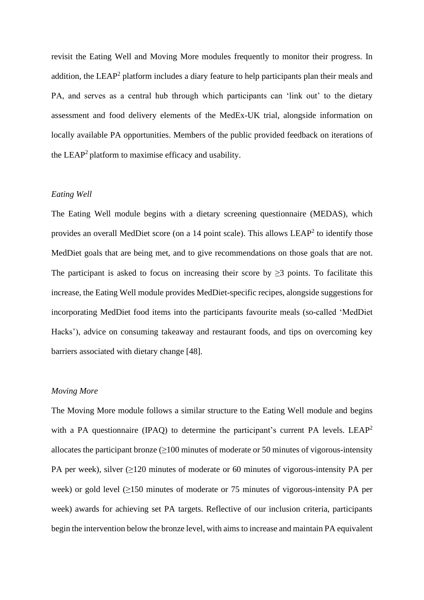revisit the Eating Well and Moving More modules frequently to monitor their progress. In addition, the LEAP<sup>2</sup> platform includes a diary feature to help participants plan their meals and PA, and serves as a central hub through which participants can 'link out' to the dietary assessment and food delivery elements of the MedEx-UK trial, alongside information on locally available PA opportunities. Members of the public provided feedback on iterations of the  $LEAP<sup>2</sup>$  platform to maximise efficacy and usability.

## *Eating Well*

The Eating Well module begins with a dietary screening questionnaire (MEDAS), which provides an overall MedDiet score (on a 14 point scale). This allows  $LEAP<sup>2</sup>$  to identify those MedDiet goals that are being met, and to give recommendations on those goals that are not. The participant is asked to focus on increasing their score by  $\geq$ 3 points. To facilitate this increase, the Eating Well module provides MedDiet-specific recipes, alongside suggestions for incorporating MedDiet food items into the participants favourite meals (so-called 'MedDiet Hacks'), advice on consuming takeaway and restaurant foods, and tips on overcoming key barriers associated with dietary change [48].

# *Moving More*

The Moving More module follows a similar structure to the Eating Well module and begins with a PA questionnaire (IPAQ) to determine the participant's current PA levels. LEAP<sup>2</sup> allocates the participant bronze  $(≥100$  minutes of moderate or 50 minutes of vigorous-intensity PA per week), silver  $(≥120$  minutes of moderate or 60 minutes of vigorous-intensity PA per week) or gold level (≥150 minutes of moderate or 75 minutes of vigorous-intensity PA per week) awards for achieving set PA targets. Reflective of our inclusion criteria, participants begin the intervention below the bronze level, with aims to increase and maintain PA equivalent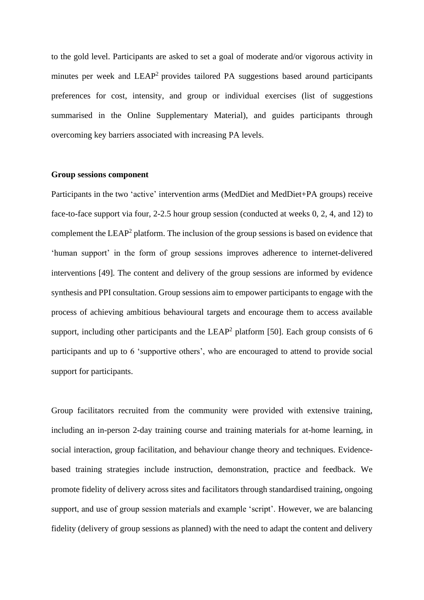to the gold level. Participants are asked to set a goal of moderate and/or vigorous activity in minutes per week and  $LEAP<sup>2</sup>$  provides tailored PA suggestions based around participants preferences for cost, intensity, and group or individual exercises (list of suggestions summarised in the Online Supplementary Material), and guides participants through overcoming key barriers associated with increasing PA levels.

#### **Group sessions component**

Participants in the two 'active' intervention arms (MedDiet and MedDiet+PA groups) receive face-to-face support via four, 2-2.5 hour group session (conducted at weeks 0, 2, 4, and 12) to complement the  $LEAP<sup>2</sup>$  platform. The inclusion of the group sessions is based on evidence that 'human support' in the form of group sessions improves adherence to internet-delivered interventions [49]. The content and delivery of the group sessions are informed by evidence synthesis and PPI consultation. Group sessions aim to empower participants to engage with the process of achieving ambitious behavioural targets and encourage them to access available support, including other participants and the LEAP<sup>2</sup> platform [50]. Each group consists of 6 participants and up to 6 'supportive others', who are encouraged to attend to provide social support for participants.

Group facilitators recruited from the community were provided with extensive training, including an in-person 2-day training course and training materials for at-home learning, in social interaction, group facilitation, and behaviour change theory and techniques. Evidencebased training strategies include instruction, demonstration, practice and feedback. We promote fidelity of delivery across sites and facilitators through standardised training, ongoing support, and use of group session materials and example 'script'. However, we are balancing fidelity (delivery of group sessions as planned) with the need to adapt the content and delivery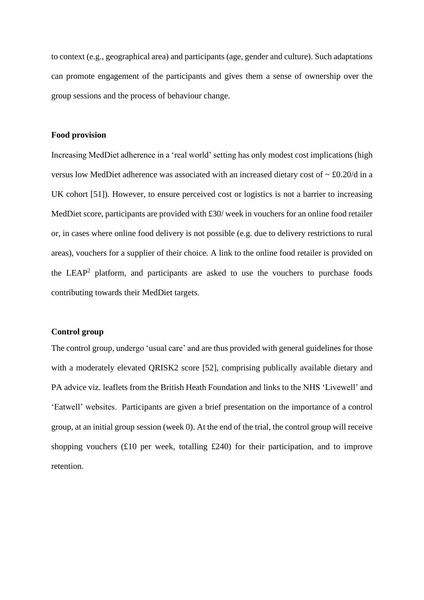to context (e.g., geographical area) and participants (age, gender and culture). Such adaptations can promote engagement of the participants and gives them a sense of ownership over the group sessions and the process of behaviour change.

#### **Food provision**

Increasing MedDiet adherence in a 'real world' setting has only modest cost implications (high versus low MedDiet adherence was associated with an increased dietary cost of  $\sim \text{\pounds}0.20/\text{d}$  in a UK cohort [51]). However, to ensure perceived cost or logistics is not a barrier to increasing MedDiet score, participants are provided with £30/ week in vouchers for an online food retailer or, in cases where online food delivery is not possible (e.g. due to delivery restrictions to rural areas), vouchers for a supplier of their choice. A link to the online food retailer is provided on the  $LEAP<sup>2</sup>$  platform, and participants are asked to use the vouchers to purchase foods contributing towards their MedDiet targets.

## **Control group**

The control group, undergo 'usual care' and are thus provided with general guidelines for those with a moderately elevated QRISK2 score [52], comprising publically available dietary and PA advice viz. leaflets from the British Heath Foundation and links to the NHS 'Livewell' and 'Eatwell' websites. Participants are given a brief presentation on the importance of a control group, at an initial group session (week 0). At the end of the trial, the control group will receive shopping vouchers  $(E10$  per week, totalling  $E240$ ) for their participation, and to improve retention.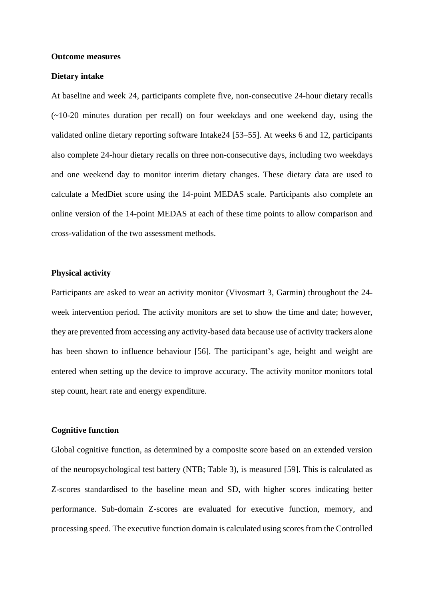#### **Outcome measures**

#### **Dietary intake**

At baseline and week 24, participants complete five, non-consecutive 24-hour dietary recalls (~10-20 minutes duration per recall) on four weekdays and one weekend day, using the validated online dietary reporting software Intake24 [53–55]. At weeks 6 and 12, participants also complete 24-hour dietary recalls on three non-consecutive days, including two weekdays and one weekend day to monitor interim dietary changes. These dietary data are used to calculate a MedDiet score using the 14-point MEDAS scale. Participants also complete an online version of the 14-point MEDAS at each of these time points to allow comparison and cross-validation of the two assessment methods.

#### **Physical activity**

Participants are asked to wear an activity monitor (Vivosmart 3, Garmin) throughout the 24 week intervention period. The activity monitors are set to show the time and date; however, they are prevented from accessing any activity-based data because use of activity trackers alone has been shown to influence behaviour [56]. The participant's age, height and weight are entered when setting up the device to improve accuracy. The activity monitor monitors total step count, heart rate and energy expenditure.

#### **Cognitive function**

Global cognitive function, as determined by a composite score based on an extended version of the neuropsychological test battery (NTB; Table 3), is measured [59]. This is calculated as Z-scores standardised to the baseline mean and SD, with higher scores indicating better performance. Sub-domain Z-scores are evaluated for executive function, memory, and processing speed. The executive function domain is calculated using scores from the Controlled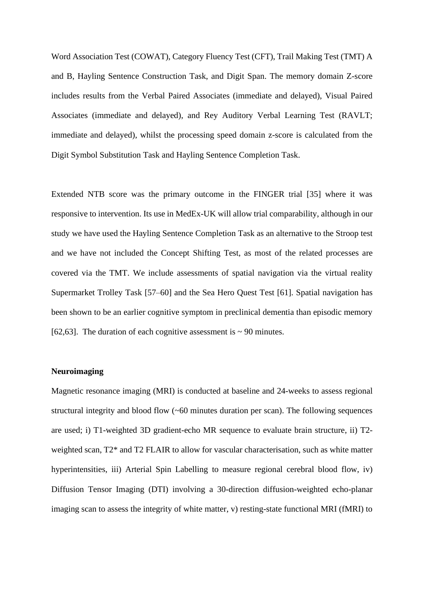Word Association Test (COWAT), Category Fluency Test (CFT), Trail Making Test (TMT) A and B, Hayling Sentence Construction Task, and Digit Span. The memory domain Z-score includes results from the Verbal Paired Associates (immediate and delayed), Visual Paired Associates (immediate and delayed), and Rey Auditory Verbal Learning Test (RAVLT; immediate and delayed), whilst the processing speed domain z-score is calculated from the Digit Symbol Substitution Task and Hayling Sentence Completion Task.

Extended NTB score was the primary outcome in the FINGER trial [35] where it was responsive to intervention. Its use in MedEx-UK will allow trial comparability, although in our study we have used the Hayling Sentence Completion Task as an alternative to the Stroop test and we have not included the Concept Shifting Test, as most of the related processes are covered via the TMT. We include assessments of spatial navigation via the virtual reality Supermarket Trolley Task [57–60] and the Sea Hero Quest Test [61]. Spatial navigation has been shown to be an earlier cognitive symptom in preclinical dementia than episodic memory [62,63]. The duration of each cognitive assessment is  $\sim$  90 minutes.

#### **Neuroimaging**

Magnetic resonance imaging (MRI) is conducted at baseline and 24-weeks to assess regional structural integrity and blood flow (~60 minutes duration per scan). The following sequences are used; i) T1-weighted 3D gradient-echo MR sequence to evaluate brain structure, ii) T2 weighted scan, T2\* and T2 FLAIR to allow for vascular characterisation, such as white matter hyperintensities, iii) Arterial Spin Labelling to measure regional cerebral blood flow, iv) Diffusion Tensor Imaging (DTI) involving a 30-direction diffusion-weighted echo-planar imaging scan to assess the integrity of white matter, v) resting-state functional MRI (fMRI) to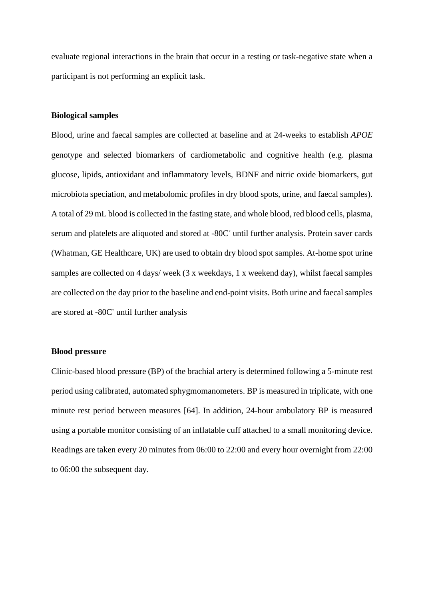evaluate regional interactions in the brain that occur in a resting or task-negative state when a participant is not performing an explicit task.

#### **Biological samples**

Blood, urine and faecal samples are collected at baseline and at 24-weeks to establish *APOE*  genotype and selected biomarkers of cardiometabolic and cognitive health (e.g. plasma glucose, lipids, antioxidant and inflammatory levels, BDNF and nitric oxide biomarkers, gut microbiota speciation, and metabolomic profiles in dry blood spots, urine, and faecal samples). A total of 29 mL blood is collected in the fasting state, and whole blood, red blood cells, plasma, serum and platelets are aliquoted and stored at -80C° until further analysis. Protein saver cards (Whatman, GE Healthcare, UK) are used to obtain dry blood spot samples. At-home spot urine samples are collected on 4 days/ week (3 x weekdays, 1 x weekend day), whilst faecal samples are collected on the day prior to the baseline and end-point visits. Both urine and faecal samples are stored at -80C◦ until further analysis

#### **Blood pressure**

Clinic-based blood pressure (BP) of the brachial artery is determined following a 5-minute rest period using calibrated, automated sphygmomanometers. BP is measured in triplicate, with one minute rest period between measures [64]. In addition, 24-hour ambulatory BP is measured using a portable monitor consisting of an inflatable cuff attached to a small monitoring device. Readings are taken every 20 minutes from 06:00 to 22:00 and every hour overnight from 22:00 to 06:00 the subsequent day.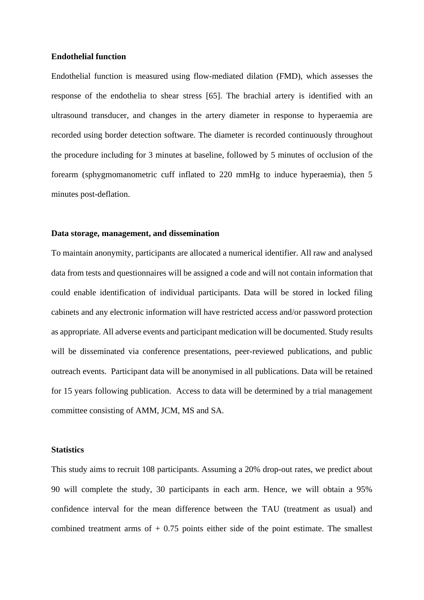#### **Endothelial function**

Endothelial function is measured using flow-mediated dilation (FMD), which assesses the response of the endothelia to shear stress [65]. The brachial artery is identified with an ultrasound transducer, and changes in the artery diameter in response to hyperaemia are recorded using border detection software. The diameter is recorded continuously throughout the procedure including for 3 minutes at baseline, followed by 5 minutes of occlusion of the forearm (sphygmomanometric cuff inflated to 220 mmHg to induce hyperaemia), then 5 minutes post-deflation.

#### **Data storage, management, and dissemination**

To maintain anonymity, participants are allocated a numerical identifier. All raw and analysed data from tests and questionnaires will be assigned a code and will not contain information that could enable identification of individual participants. Data will be stored in locked filing cabinets and any electronic information will have restricted access and/or password protection as appropriate. All adverse events and participant medication will be documented. Study results will be disseminated via conference presentations, peer-reviewed publications, and public outreach events. Participant data will be anonymised in all publications. Data will be retained for 15 years following publication. Access to data will be determined by a trial management committee consisting of AMM, JCM, MS and SA.

## **Statistics**

This study aims to recruit 108 participants. Assuming a 20% drop-out rates, we predict about 90 will complete the study, 30 participants in each arm. Hence, we will obtain a 95% confidence interval for the mean difference between the TAU (treatment as usual) and combined treatment arms of  $+0.75$  points either side of the point estimate. The smallest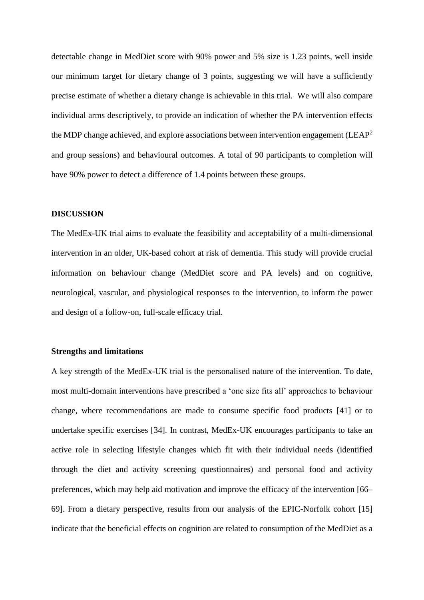detectable change in MedDiet score with 90% power and 5% size is 1.23 points, well inside our minimum target for dietary change of 3 points, suggesting we will have a sufficiently precise estimate of whether a dietary change is achievable in this trial. We will also compare individual arms descriptively, to provide an indication of whether the PA intervention effects the MDP change achieved, and explore associations between intervention engagement ( $LEAP<sup>2</sup>$ and group sessions) and behavioural outcomes. A total of 90 participants to completion will have 90% power to detect a difference of 1.4 points between these groups.

#### **DISCUSSION**

The MedEx-UK trial aims to evaluate the feasibility and acceptability of a multi-dimensional intervention in an older, UK-based cohort at risk of dementia. This study will provide crucial information on behaviour change (MedDiet score and PA levels) and on cognitive, neurological, vascular, and physiological responses to the intervention, to inform the power and design of a follow-on, full-scale efficacy trial.

## **Strengths and limitations**

A key strength of the MedEx-UK trial is the personalised nature of the intervention. To date, most multi-domain interventions have prescribed a 'one size fits all' approaches to behaviour change, where recommendations are made to consume specific food products [41] or to undertake specific exercises [34]. In contrast, MedEx-UK encourages participants to take an active role in selecting lifestyle changes which fit with their individual needs (identified through the diet and activity screening questionnaires) and personal food and activity preferences, which may help aid motivation and improve the efficacy of the intervention [66– 69]. From a dietary perspective, results from our analysis of the EPIC-Norfolk cohort [15] indicate that the beneficial effects on cognition are related to consumption of the MedDiet as a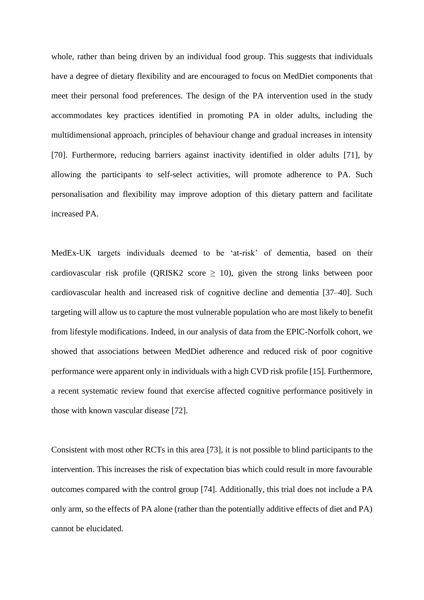whole, rather than being driven by an individual food group. This suggests that individuals have a degree of dietary flexibility and are encouraged to focus on MedDiet components that meet their personal food preferences. The design of the PA intervention used in the study accommodates key practices identified in promoting PA in older adults, including the multidimensional approach, principles of behaviour change and gradual increases in intensity [70]. Furthermore, reducing barriers against inactivity identified in older adults [71], by allowing the participants to self-select activities, will promote adherence to PA. Such personalisation and flexibility may improve adoption of this dietary pattern and facilitate increased PA.

MedEx-UK targets individuals deemed to be 'at-risk' of dementia, based on their cardiovascular risk profile (QRISK2 score  $\geq$  10), given the strong links between poor cardiovascular health and increased risk of cognitive decline and dementia [37–40]. Such targeting will allow us to capture the most vulnerable population who are most likely to benefit from lifestyle modifications. Indeed, in our analysis of data from the EPIC-Norfolk cohort, we showed that associations between MedDiet adherence and reduced risk of poor cognitive performance were apparent only in individuals with a high CVD risk profile [15]. Furthermore, a recent systematic review found that exercise affected cognitive performance positively in those with known vascular disease [72].

Consistent with most other RCTs in this area [73], it is not possible to blind participants to the intervention. This increases the risk of expectation bias which could result in more favourable outcomes compared with the control group [74]. Additionally, this trial does not include a PA only arm, so the effects of PA alone (rather than the potentially additive effects of diet and PA) cannot be elucidated.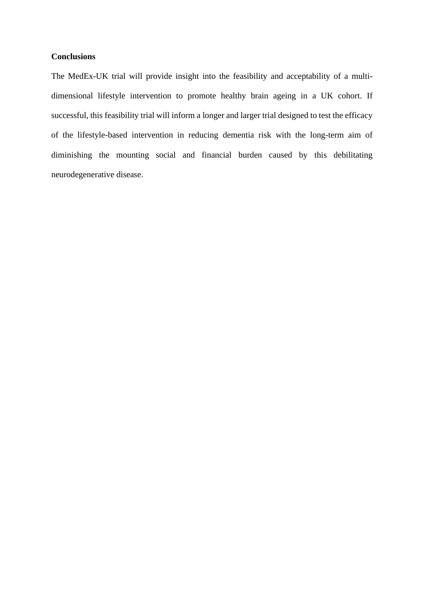# **Conclusions**

The MedEx-UK trial will provide insight into the feasibility and acceptability of a multidimensional lifestyle intervention to promote healthy brain ageing in a UK cohort. If successful, this feasibility trial will inform a longer and larger trial designed to test the efficacy of the lifestyle-based intervention in reducing dementia risk with the long-term aim of diminishing the mounting social and financial burden caused by this debilitating neurodegenerative disease.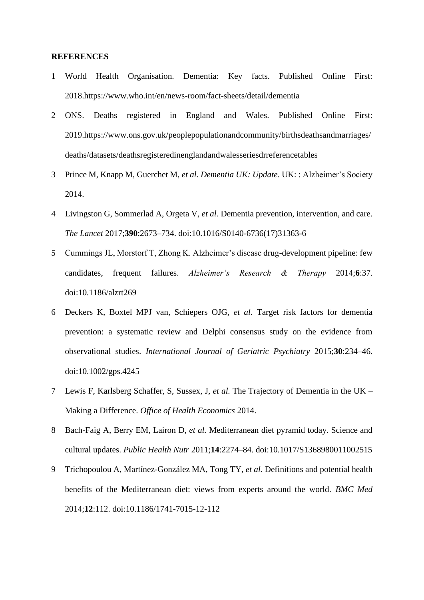#### **REFERENCES**

- 1 World Health Organisation. Dementia: Key facts. Published Online First: 2018.https://www.who.int/en/news-room/fact-sheets/detail/dementia
- 2 ONS. Deaths registered in England and Wales. Published Online First: 2019.https://www.ons.gov.uk/peoplepopulationandcommunity/birthsdeathsandmarriages/ deaths/datasets/deathsregisteredinenglandandwalesseriesdrreferencetables
- 3 Prince M, Knapp M, Guerchet M, *et al. Dementia UK: Update*. UK: : Alzheimer's Society 2014.
- 4 Livingston G, Sommerlad A, Orgeta V, *et al.* Dementia prevention, intervention, and care. *The Lancet* 2017;**390**:2673–734. doi:10.1016/S0140-6736(17)31363-6
- 5 Cummings JL, Morstorf T, Zhong K. Alzheimer's disease drug-development pipeline: few candidates, frequent failures. *Alzheimer's Research & Therapy* 2014;**6**:37. doi:10.1186/alzrt269
- 6 Deckers K, Boxtel MPJ van, Schiepers OJG, *et al.* Target risk factors for dementia prevention: a systematic review and Delphi consensus study on the evidence from observational studies. *International Journal of Geriatric Psychiatry* 2015;**30**:234–46. doi:10.1002/gps.4245
- 7 Lewis F, Karlsberg Schaffer, S, Sussex, J, *et al.* The Trajectory of Dementia in the UK Making a Difference. *Office of Health Economics* 2014.
- 8 Bach-Faig A, Berry EM, Lairon D, *et al.* Mediterranean diet pyramid today. Science and cultural updates. *Public Health Nutr* 2011;**14**:2274–84. doi:10.1017/S1368980011002515
- 9 Trichopoulou A, Martínez-González MA, Tong TY, *et al.* Definitions and potential health benefits of the Mediterranean diet: views from experts around the world. *BMC Med* 2014;**12**:112. doi:10.1186/1741-7015-12-112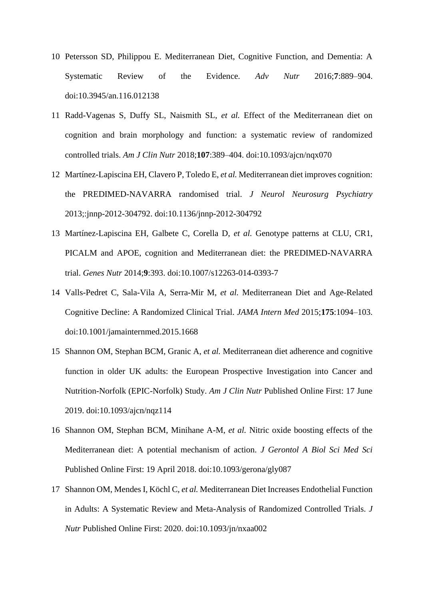- 10 Petersson SD, Philippou E. Mediterranean Diet, Cognitive Function, and Dementia: A Systematic Review of the Evidence. *Adv Nutr* 2016;**7**:889–904. doi:10.3945/an.116.012138
- 11 Radd-Vagenas S, Duffy SL, Naismith SL, *et al.* Effect of the Mediterranean diet on cognition and brain morphology and function: a systematic review of randomized controlled trials. *Am J Clin Nutr* 2018;**107**:389–404. doi:10.1093/ajcn/nqx070
- 12 Martínez-Lapiscina EH, Clavero P, Toledo E, *et al.* Mediterranean diet improves cognition: the PREDIMED-NAVARRA randomised trial. *J Neurol Neurosurg Psychiatry* 2013;:jnnp-2012-304792. doi:10.1136/jnnp-2012-304792
- 13 Martínez-Lapiscina EH, Galbete C, Corella D, *et al.* Genotype patterns at CLU, CR1, PICALM and APOE, cognition and Mediterranean diet: the PREDIMED-NAVARRA trial. *Genes Nutr* 2014;**9**:393. doi:10.1007/s12263-014-0393-7
- 14 Valls-Pedret C, Sala-Vila A, Serra-Mir M, *et al.* Mediterranean Diet and Age-Related Cognitive Decline: A Randomized Clinical Trial. *JAMA Intern Med* 2015;**175**:1094–103. doi:10.1001/jamainternmed.2015.1668
- 15 Shannon OM, Stephan BCM, Granic A, *et al.* Mediterranean diet adherence and cognitive function in older UK adults: the European Prospective Investigation into Cancer and Nutrition-Norfolk (EPIC-Norfolk) Study. *Am J Clin Nutr* Published Online First: 17 June 2019. doi:10.1093/ajcn/nqz114
- 16 Shannon OM, Stephan BCM, Minihane A-M, *et al.* Nitric oxide boosting effects of the Mediterranean diet: A potential mechanism of action. *J Gerontol A Biol Sci Med Sci* Published Online First: 19 April 2018. doi:10.1093/gerona/gly087
- 17 Shannon OM, Mendes I, Köchl C, *et al.* Mediterranean Diet Increases Endothelial Function in Adults: A Systematic Review and Meta-Analysis of Randomized Controlled Trials. *J Nutr* Published Online First: 2020. doi:10.1093/jn/nxaa002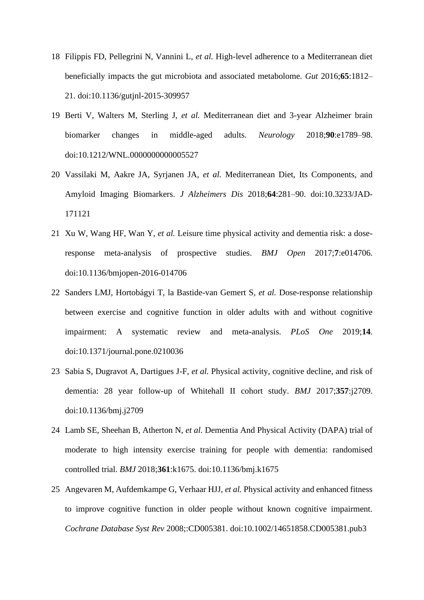- 18 Filippis FD, Pellegrini N, Vannini L, *et al.* High-level adherence to a Mediterranean diet beneficially impacts the gut microbiota and associated metabolome. *Gut* 2016;**65**:1812– 21. doi:10.1136/gutjnl-2015-309957
- 19 Berti V, Walters M, Sterling J, *et al.* Mediterranean diet and 3-year Alzheimer brain biomarker changes in middle-aged adults. *Neurology* 2018;**90**:e1789–98. doi:10.1212/WNL.0000000000005527
- 20 Vassilaki M, Aakre JA, Syrjanen JA, *et al.* Mediterranean Diet, Its Components, and Amyloid Imaging Biomarkers. *J Alzheimers Dis* 2018;**64**:281–90. doi:10.3233/JAD-171121
- 21 Xu W, Wang HF, Wan Y, *et al.* Leisure time physical activity and dementia risk: a doseresponse meta-analysis of prospective studies. *BMJ Open* 2017;**7**:e014706. doi:10.1136/bmjopen-2016-014706
- 22 Sanders LMJ, Hortobágyi T, la Bastide-van Gemert S, *et al.* Dose-response relationship between exercise and cognitive function in older adults with and without cognitive impairment: A systematic review and meta-analysis. *PLoS One* 2019;**14**. doi:10.1371/journal.pone.0210036
- 23 Sabia S, Dugravot A, Dartigues J-F, *et al.* Physical activity, cognitive decline, and risk of dementia: 28 year follow-up of Whitehall II cohort study. *BMJ* 2017;**357**:j2709. doi:10.1136/bmj.j2709
- 24 Lamb SE, Sheehan B, Atherton N, *et al.* Dementia And Physical Activity (DAPA) trial of moderate to high intensity exercise training for people with dementia: randomised controlled trial. *BMJ* 2018;**361**:k1675. doi:10.1136/bmj.k1675
- 25 Angevaren M, Aufdemkampe G, Verhaar HJJ, *et al.* Physical activity and enhanced fitness to improve cognitive function in older people without known cognitive impairment. *Cochrane Database Syst Rev* 2008;:CD005381. doi:10.1002/14651858.CD005381.pub3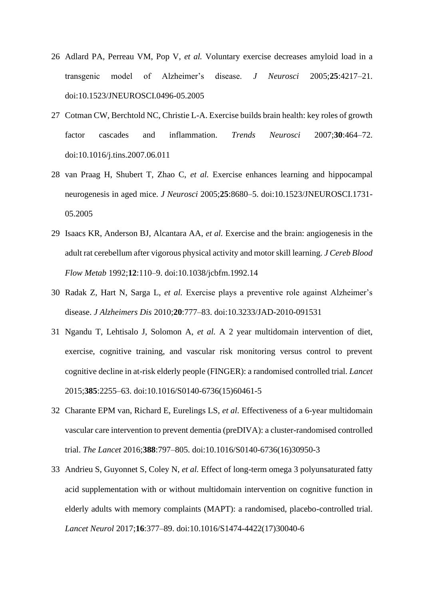- 26 Adlard PA, Perreau VM, Pop V, *et al.* Voluntary exercise decreases amyloid load in a transgenic model of Alzheimer's disease. *J Neurosci* 2005;**25**:4217–21. doi:10.1523/JNEUROSCI.0496-05.2005
- 27 Cotman CW, Berchtold NC, Christie L-A. Exercise builds brain health: key roles of growth factor cascades and inflammation. *Trends Neurosci* 2007;**30**:464–72. doi:10.1016/j.tins.2007.06.011
- 28 van Praag H, Shubert T, Zhao C, *et al.* Exercise enhances learning and hippocampal neurogenesis in aged mice. *J Neurosci* 2005;**25**:8680–5. doi:10.1523/JNEUROSCI.1731- 05.2005
- 29 Isaacs KR, Anderson BJ, Alcantara AA, *et al.* Exercise and the brain: angiogenesis in the adult rat cerebellum after vigorous physical activity and motor skill learning. *J Cereb Blood Flow Metab* 1992;**12**:110–9. doi:10.1038/jcbfm.1992.14
- 30 Radak Z, Hart N, Sarga L, *et al.* Exercise plays a preventive role against Alzheimer's disease. *J Alzheimers Dis* 2010;**20**:777–83. doi:10.3233/JAD-2010-091531
- 31 Ngandu T, Lehtisalo J, Solomon A, *et al.* A 2 year multidomain intervention of diet, exercise, cognitive training, and vascular risk monitoring versus control to prevent cognitive decline in at-risk elderly people (FINGER): a randomised controlled trial. *Lancet* 2015;**385**:2255–63. doi:10.1016/S0140-6736(15)60461-5
- 32 Charante EPM van, Richard E, Eurelings LS, *et al.* Effectiveness of a 6-year multidomain vascular care intervention to prevent dementia (preDIVA): a cluster-randomised controlled trial. *The Lancet* 2016;**388**:797–805. doi:10.1016/S0140-6736(16)30950-3
- 33 Andrieu S, Guyonnet S, Coley N, *et al.* Effect of long-term omega 3 polyunsaturated fatty acid supplementation with or without multidomain intervention on cognitive function in elderly adults with memory complaints (MAPT): a randomised, placebo-controlled trial. *Lancet Neurol* 2017;**16**:377–89. doi:10.1016/S1474-4422(17)30040-6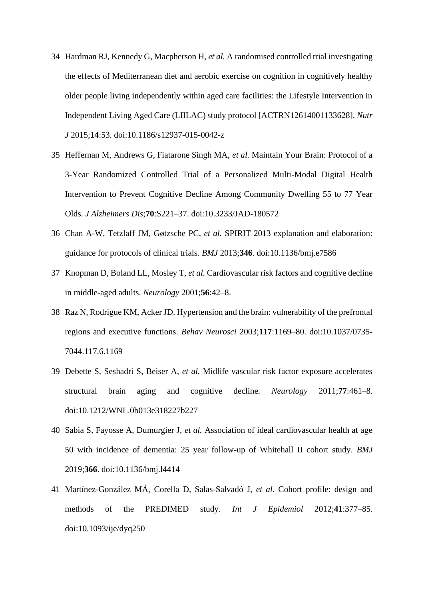- 34 Hardman RJ, Kennedy G, Macpherson H, *et al.* A randomised controlled trial investigating the effects of Mediterranean diet and aerobic exercise on cognition in cognitively healthy older people living independently within aged care facilities: the Lifestyle Intervention in Independent Living Aged Care (LIILAC) study protocol [ACTRN12614001133628]. *Nutr J* 2015;**14**:53. doi:10.1186/s12937-015-0042-z
- 35 Heffernan M, Andrews G, Fiatarone Singh MA, *et al.* Maintain Your Brain: Protocol of a 3-Year Randomized Controlled Trial of a Personalized Multi-Modal Digital Health Intervention to Prevent Cognitive Decline Among Community Dwelling 55 to 77 Year Olds. *J Alzheimers Dis*;**70**:S221–37. doi:10.3233/JAD-180572
- 36 Chan A-W, Tetzlaff JM, Gøtzsche PC, *et al.* SPIRIT 2013 explanation and elaboration: guidance for protocols of clinical trials. *BMJ* 2013;**346**. doi:10.1136/bmj.e7586
- 37 Knopman D, Boland LL, Mosley T, *et al.* Cardiovascular risk factors and cognitive decline in middle-aged adults. *Neurology* 2001;**56**:42–8.
- 38 Raz N, Rodrigue KM, Acker JD. Hypertension and the brain: vulnerability of the prefrontal regions and executive functions. *Behav Neurosci* 2003;**117**:1169–80. doi:10.1037/0735- 7044.117.6.1169
- 39 Debette S, Seshadri S, Beiser A, *et al.* Midlife vascular risk factor exposure accelerates structural brain aging and cognitive decline. *Neurology* 2011;**77**:461–8. doi:10.1212/WNL.0b013e318227b227
- 40 Sabia S, Fayosse A, Dumurgier J, *et al.* Association of ideal cardiovascular health at age 50 with incidence of dementia: 25 year follow-up of Whitehall II cohort study. *BMJ* 2019;**366**. doi:10.1136/bmj.l4414
- 41 Martínez-González MÁ, Corella D, Salas-Salvadó J, *et al.* Cohort profile: design and methods of the PREDIMED study. *Int J Epidemiol* 2012;**41**:377–85. doi:10.1093/ije/dyq250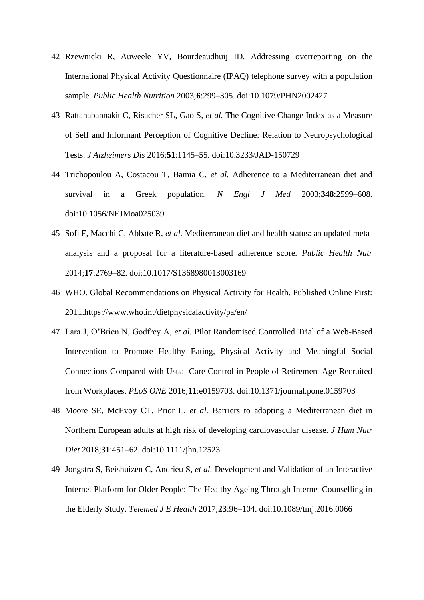- 42 Rzewnicki R, Auweele YV, Bourdeaudhuij ID. Addressing overreporting on the International Physical Activity Questionnaire (IPAQ) telephone survey with a population sample. *Public Health Nutrition* 2003;**6**:299–305. doi:10.1079/PHN2002427
- 43 Rattanabannakit C, Risacher SL, Gao S, *et al.* The Cognitive Change Index as a Measure of Self and Informant Perception of Cognitive Decline: Relation to Neuropsychological Tests. *J Alzheimers Dis* 2016;**51**:1145–55. doi:10.3233/JAD-150729
- 44 Trichopoulou A, Costacou T, Bamia C, *et al.* Adherence to a Mediterranean diet and survival in a Greek population. *N Engl J Med* 2003;**348**:2599–608. doi:10.1056/NEJMoa025039
- 45 Sofi F, Macchi C, Abbate R, *et al.* Mediterranean diet and health status: an updated metaanalysis and a proposal for a literature-based adherence score. *Public Health Nutr* 2014;**17**:2769–82. doi:10.1017/S1368980013003169
- 46 WHO. Global Recommendations on Physical Activity for Health. Published Online First: 2011.https://www.who.int/dietphysicalactivity/pa/en/
- 47 Lara J, O'Brien N, Godfrey A, *et al.* Pilot Randomised Controlled Trial of a Web-Based Intervention to Promote Healthy Eating, Physical Activity and Meaningful Social Connections Compared with Usual Care Control in People of Retirement Age Recruited from Workplaces. *PLoS ONE* 2016;**11**:e0159703. doi:10.1371/journal.pone.0159703
- 48 Moore SE, McEvoy CT, Prior L, *et al.* Barriers to adopting a Mediterranean diet in Northern European adults at high risk of developing cardiovascular disease. *J Hum Nutr Diet* 2018;**31**:451–62. doi:10.1111/jhn.12523
- 49 Jongstra S, Beishuizen C, Andrieu S, *et al.* Development and Validation of an Interactive Internet Platform for Older People: The Healthy Ageing Through Internet Counselling in the Elderly Study. *Telemed J E Health* 2017;**23**:96–104. doi:10.1089/tmj.2016.0066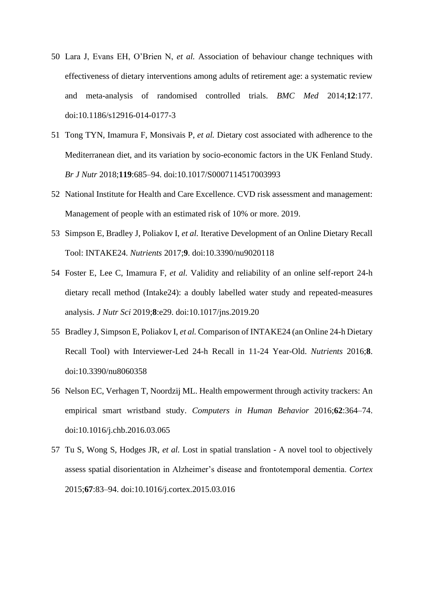- 50 Lara J, Evans EH, O'Brien N, *et al.* Association of behaviour change techniques with effectiveness of dietary interventions among adults of retirement age: a systematic review and meta-analysis of randomised controlled trials. *BMC Med* 2014;**12**:177. doi:10.1186/s12916-014-0177-3
- 51 Tong TYN, Imamura F, Monsivais P, *et al.* Dietary cost associated with adherence to the Mediterranean diet, and its variation by socio-economic factors in the UK Fenland Study. *Br J Nutr* 2018;**119**:685–94. doi:10.1017/S0007114517003993
- 52 National Institute for Health and Care Excellence. CVD risk assessment and management: Management of people with an estimated risk of 10% or more. 2019.
- 53 Simpson E, Bradley J, Poliakov I, *et al.* Iterative Development of an Online Dietary Recall Tool: INTAKE24. *Nutrients* 2017;**9**. doi:10.3390/nu9020118
- 54 Foster E, Lee C, Imamura F, *et al.* Validity and reliability of an online self-report 24-h dietary recall method (Intake24): a doubly labelled water study and repeated-measures analysis. *J Nutr Sci* 2019;**8**:e29. doi:10.1017/jns.2019.20
- 55 Bradley J, Simpson E, Poliakov I, *et al.* Comparison of INTAKE24 (an Online 24-h Dietary Recall Tool) with Interviewer-Led 24-h Recall in 11-24 Year-Old. *Nutrients* 2016;**8**. doi:10.3390/nu8060358
- 56 Nelson EC, Verhagen T, Noordzij ML. Health empowerment through activity trackers: An empirical smart wristband study. *Computers in Human Behavior* 2016;**62**:364–74. doi:10.1016/j.chb.2016.03.065
- 57 Tu S, Wong S, Hodges JR, *et al.* Lost in spatial translation A novel tool to objectively assess spatial disorientation in Alzheimer's disease and frontotemporal dementia. *Cortex* 2015;**67**:83–94. doi:10.1016/j.cortex.2015.03.016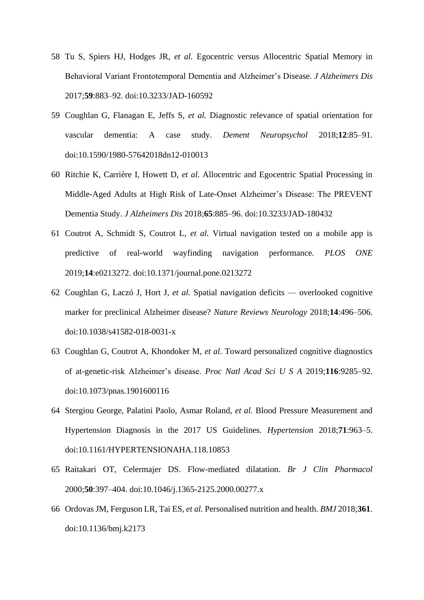- 58 Tu S, Spiers HJ, Hodges JR, *et al.* Egocentric versus Allocentric Spatial Memory in Behavioral Variant Frontotemporal Dementia and Alzheimer's Disease. *J Alzheimers Dis* 2017;**59**:883–92. doi:10.3233/JAD-160592
- 59 Coughlan G, Flanagan E, Jeffs S, *et al.* Diagnostic relevance of spatial orientation for vascular dementia: A case study. *Dement Neuropsychol* 2018;**12**:85–91. doi:10.1590/1980-57642018dn12-010013
- 60 Ritchie K, Carrière I, Howett D, *et al.* Allocentric and Egocentric Spatial Processing in Middle-Aged Adults at High Risk of Late-Onset Alzheimer's Disease: The PREVENT Dementia Study. *J Alzheimers Dis* 2018;**65**:885–96. doi:10.3233/JAD-180432
- 61 Coutrot A, Schmidt S, Coutrot L, *et al.* Virtual navigation tested on a mobile app is predictive of real-world wayfinding navigation performance. *PLOS ONE* 2019;**14**:e0213272. doi:10.1371/journal.pone.0213272
- 62 Coughlan G, Laczó J, Hort J, *et al.* Spatial navigation deficits overlooked cognitive marker for preclinical Alzheimer disease? *Nature Reviews Neurology* 2018;**14**:496–506. doi:10.1038/s41582-018-0031-x
- 63 Coughlan G, Coutrot A, Khondoker M, *et al.* Toward personalized cognitive diagnostics of at-genetic-risk Alzheimer's disease. *Proc Natl Acad Sci U S A* 2019;**116**:9285–92. doi:10.1073/pnas.1901600116
- 64 Stergiou George, Palatini Paolo, Asmar Roland, *et al.* Blood Pressure Measurement and Hypertension Diagnosis in the 2017 US Guidelines. *Hypertension* 2018;**71**:963–5. doi:10.1161/HYPERTENSIONAHA.118.10853
- 65 Raitakari OT, Celermajer DS. Flow-mediated dilatation. *Br J Clin Pharmacol* 2000;**50**:397–404. doi:10.1046/j.1365-2125.2000.00277.x
- 66 Ordovas JM, Ferguson LR, Tai ES, *et al.* Personalised nutrition and health. *BMJ* 2018;**361**. doi:10.1136/bmj.k2173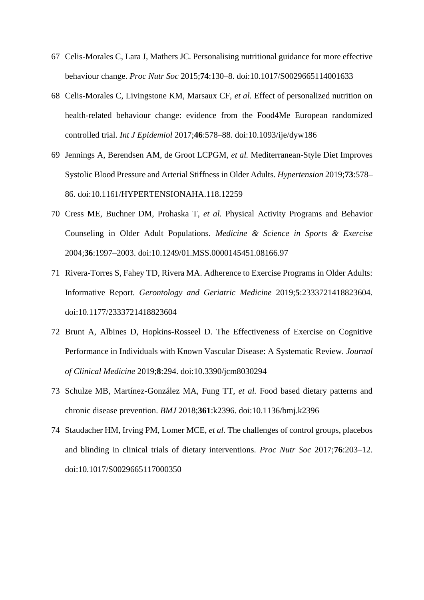- 67 Celis-Morales C, Lara J, Mathers JC. Personalising nutritional guidance for more effective behaviour change. *Proc Nutr Soc* 2015;**74**:130–8. doi:10.1017/S0029665114001633
- 68 Celis-Morales C, Livingstone KM, Marsaux CF, *et al.* Effect of personalized nutrition on health-related behaviour change: evidence from the Food4Me European randomized controlled trial. *Int J Epidemiol* 2017;**46**:578–88. doi:10.1093/ije/dyw186
- 69 Jennings A, Berendsen AM, de Groot LCPGM, *et al.* Mediterranean-Style Diet Improves Systolic Blood Pressure and Arterial Stiffness in Older Adults. *Hypertension* 2019;**73**:578– 86. doi:10.1161/HYPERTENSIONAHA.118.12259
- 70 Cress ME, Buchner DM, Prohaska T, *et al.* Physical Activity Programs and Behavior Counseling in Older Adult Populations. *Medicine & Science in Sports & Exercise* 2004;**36**:1997–2003. doi:10.1249/01.MSS.0000145451.08166.97
- 71 Rivera-Torres S, Fahey TD, Rivera MA. Adherence to Exercise Programs in Older Adults: Informative Report. *Gerontology and Geriatric Medicine* 2019;**5**:2333721418823604. doi:10.1177/2333721418823604
- 72 Brunt A, Albines D, Hopkins-Rosseel D. The Effectiveness of Exercise on Cognitive Performance in Individuals with Known Vascular Disease: A Systematic Review. *Journal of Clinical Medicine* 2019;**8**:294. doi:10.3390/jcm8030294
- 73 Schulze MB, Martínez-González MA, Fung TT, *et al.* Food based dietary patterns and chronic disease prevention. *BMJ* 2018;**361**:k2396. doi:10.1136/bmj.k2396
- 74 Staudacher HM, Irving PM, Lomer MCE, *et al.* The challenges of control groups, placebos and blinding in clinical trials of dietary interventions. *Proc Nutr Soc* 2017;**76**:203–12. doi:10.1017/S0029665117000350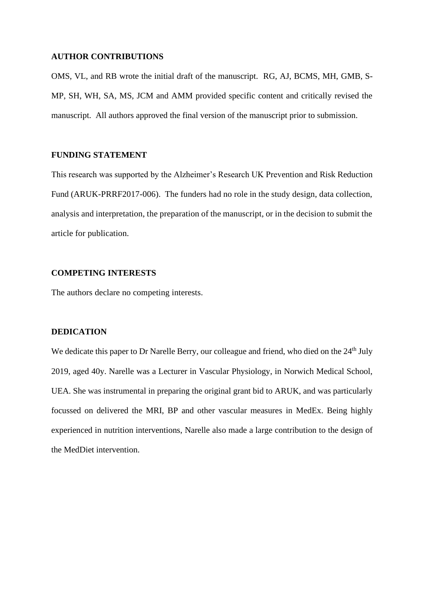#### **AUTHOR CONTRIBUTIONS**

OMS, VL, and RB wrote the initial draft of the manuscript. RG, AJ, BCMS, MH, GMB, S-MP, SH, WH, SA, MS, JCM and AMM provided specific content and critically revised the manuscript. All authors approved the final version of the manuscript prior to submission.

# **FUNDING STATEMENT**

This research was supported by the Alzheimer's Research UK Prevention and Risk Reduction Fund (ARUK-PRRF2017-006). The funders had no role in the study design, data collection, analysis and interpretation, the preparation of the manuscript, or in the decision to submit the article for publication.

# **COMPETING INTERESTS**

The authors declare no competing interests.

## **DEDICATION**

We dedicate this paper to Dr Narelle Berry, our colleague and friend, who died on the 24<sup>th</sup> July 2019, aged 40y. Narelle was a Lecturer in Vascular Physiology, in Norwich Medical School, UEA. She was instrumental in preparing the original grant bid to ARUK, and was particularly focussed on delivered the MRI, BP and other vascular measures in MedEx. Being highly experienced in nutrition interventions, Narelle also made a large contribution to the design of the MedDiet intervention.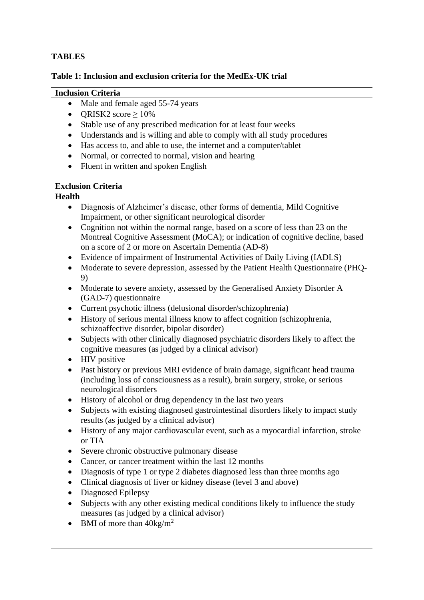# **TABLES**

# **Table 1: Inclusion and exclusion criteria for the MedEx-UK trial**

# **Inclusion Criteria**

- Male and female aged 55-74 years
- ORISK2 score  $> 10\%$
- Stable use of any prescribed medication for at least four weeks
- Understands and is willing and able to comply with all study procedures
- Has access to, and able to use, the internet and a computer/tablet
- Normal, or corrected to normal, vision and hearing
- Fluent in written and spoken English

# **Exclusion Criteria**

# **Health**

- Diagnosis of Alzheimer's disease, other forms of dementia, Mild Cognitive Impairment, or other significant neurological disorder
- Cognition not within the normal range, based on a score of less than 23 on the Montreal Cognitive Assessment (MoCA); or indication of cognitive decline, based on a score of 2 or more on Ascertain Dementia (AD-8)
- Evidence of impairment of Instrumental Activities of Daily Living (IADLS)
- Moderate to severe depression, assessed by the Patient Health Questionnaire (PHQ-9)
- Moderate to severe anxiety, assessed by the Generalised Anxiety Disorder A (GAD-7) questionnaire
- Current psychotic illness (delusional disorder/schizophrenia)
- History of serious mental illness know to affect cognition (schizophrenia, schizoaffective disorder, bipolar disorder)
- Subjects with other clinically diagnosed psychiatric disorders likely to affect the cognitive measures (as judged by a clinical advisor)
- HIV positive
- Past history or previous MRI evidence of brain damage, significant head trauma (including loss of consciousness as a result), brain surgery, stroke, or serious neurological disorders
- History of alcohol or drug dependency in the last two years
- Subjects with existing diagnosed gastrointestinal disorders likely to impact study results (as judged by a clinical advisor)
- History of any major cardiovascular event, such as a myocardial infarction, stroke or TIA
- Severe chronic obstructive pulmonary disease
- Cancer, or cancer treatment within the last 12 months
- Diagnosis of type 1 or type 2 diabetes diagnosed less than three months ago
- Clinical diagnosis of liver or kidney disease (level 3 and above)
- Diagnosed Epilepsy
- Subjects with any other existing medical conditions likely to influence the study measures (as judged by a clinical advisor)
- BMI of more than  $40\text{kg/m}^2$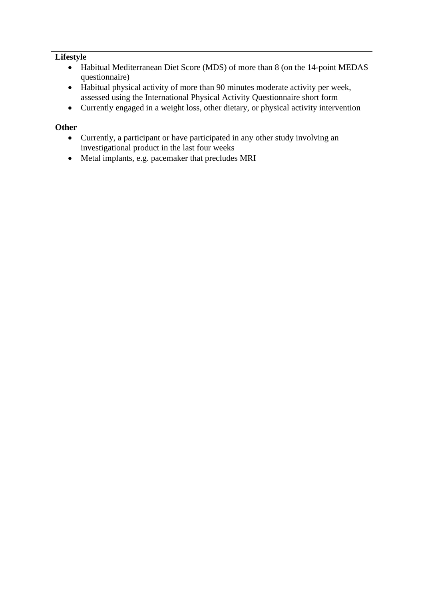# **Lifestyle**

- Habitual Mediterranean Diet Score (MDS) of more than 8 (on the 14-point MEDAS questionnaire)
- Habitual physical activity of more than 90 minutes moderate activity per week, assessed using the International Physical Activity Questionnaire short form
- Currently engaged in a weight loss, other dietary, or physical activity intervention

# **Other**

- Currently, a participant or have participated in any other study involving an investigational product in the last four weeks
- Metal implants, e.g. pacemaker that precludes MRI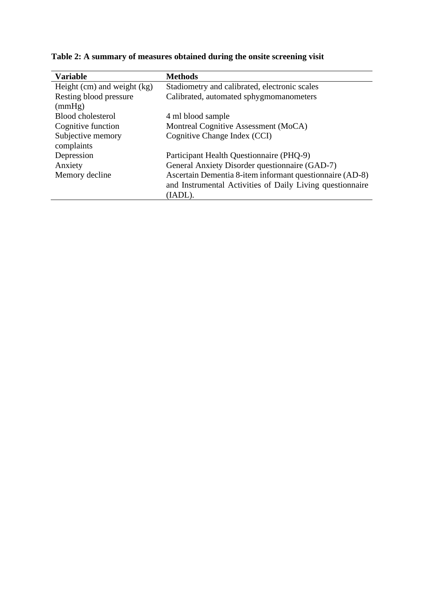| <b>Variable</b>                 | <b>Methods</b>                                            |
|---------------------------------|-----------------------------------------------------------|
| Height $(cm)$ and weight $(kg)$ | Stadiometry and calibrated, electronic scales             |
| Resting blood pressure          | Calibrated, automated sphygmomanometers                   |
| (mmHg)                          |                                                           |
| Blood cholesterol               | 4 ml blood sample                                         |
| Cognitive function              | Montreal Cognitive Assessment (MoCA)                      |
| Subjective memory               | Cognitive Change Index (CCI)                              |
| complaints                      |                                                           |
| Depression                      | Participant Health Questionnaire (PHQ-9)                  |
| Anxiety                         | General Anxiety Disorder questionnaire (GAD-7)            |
| Memory decline                  | Ascertain Dementia 8-item informant questionnaire (AD-8)  |
|                                 | and Instrumental Activities of Daily Living questionnaire |
|                                 | (IADL).                                                   |

**Table 2: A summary of measures obtained during the onsite screening visit**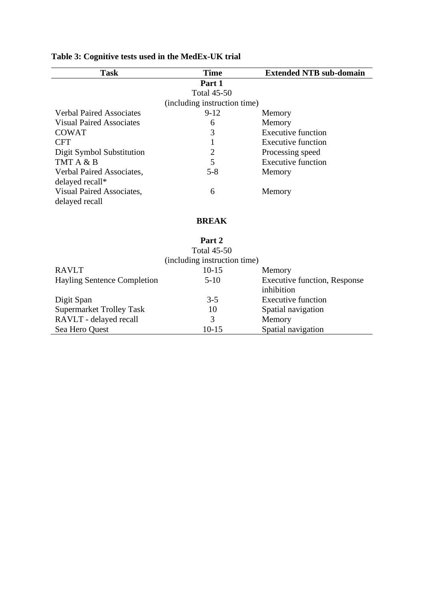| <b>Task</b>                     | <b>Time</b>                  | <b>Extended NTB sub-domain</b> |
|---------------------------------|------------------------------|--------------------------------|
|                                 | Part 1                       |                                |
|                                 | <b>Total 45-50</b>           |                                |
|                                 | (including instruction time) |                                |
| <b>Verbal Paired Associates</b> | $9-12$                       | Memory                         |
| <b>Visual Paired Associates</b> | 6                            | Memory                         |
| <b>COWAT</b>                    | 3                            | <b>Executive function</b>      |
| <b>CFT</b>                      |                              | <b>Executive function</b>      |
| Digit Symbol Substitution       | 2                            | Processing speed               |
| TMT A & B                       | 5                            | <b>Executive function</b>      |
| Verbal Paired Associates,       | $5 - 8$                      | Memory                         |
| delayed recall*                 |                              |                                |
| Visual Paired Associates,       | 6                            | Memory                         |
| delayed recall                  |                              |                                |
|                                 |                              |                                |
|                                 | <b>BREAK</b>                 |                                |
|                                 | Part 2                       |                                |
|                                 | <b>Total 45-50</b>           |                                |
|                                 | (including instruction time) |                                |
| <b>RAVLT</b>                    | $10 - 15$                    | Memory                         |

# **Table 3: Cognitive tests used in the MedEx-UK trial**

| $10-15$ | Memory                              |
|---------|-------------------------------------|
| $5-10$  | <b>Executive function, Response</b> |
|         | inhibition                          |
| $3-5$   | <b>Executive function</b>           |
| 10      | Spatial navigation                  |
|         | Memory                              |
| $10-15$ | Spatial navigation                  |
|         |                                     |